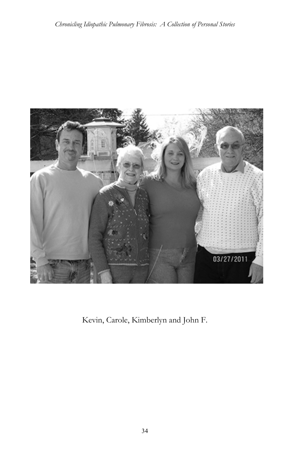

Kevin, Carole, Kimberlyn and John F.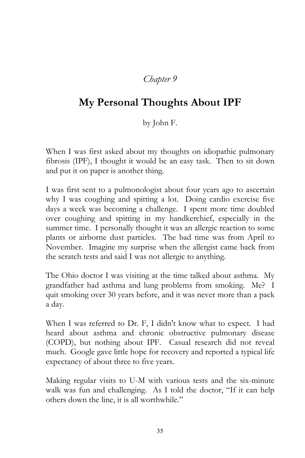## *Chapter 9*

## **My Personal Thoughts About IPF**

by John F.

When I was first asked about my thoughts on idiopathic pulmonary fibrosis (IPF), I thought it would be an easy task. Then to sit down and put it on paper is another thing.

I was first sent to a pulmonologist about four years ago to ascertain why I was coughing and spitting a lot. Doing cardio exercise five days a week was becoming a challenge. I spent more time doubled over coughing and spitting in my handkerchief, especially in the summer time. I personally thought it was an allergic reaction to some plants or airborne dust particles. The bad time was from April to November. Imagine my surprise when the allergist came back from the scratch tests and said I was not allergic to anything.

The Ohio doctor I was visiting at the time talked about asthma. My grandfather had asthma and lung problems from smoking. Me? I quit smoking over 30 years before, and it was never more than a pack a day.

When I was referred to Dr. F, I didn't know what to expect. I had heard about asthma and chronic obstructive pulmonary disease (COPD), but nothing about IPF. Casual research did not reveal much. Google gave little hope for recovery and reported a typical life expectancy of about three to five years.

Making regular visits to U-M with various tests and the six-minute walk was fun and challenging. As I told the doctor, "If it can help others down the line, it is all worthwhile."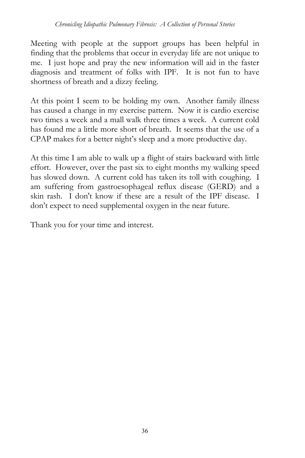Meeting with people at the support groups has been helpful in finding that the problems that occur in everyday life are not unique to me. I just hope and pray the new information will aid in the faster diagnosis and treatment of folks with IPF. It is not fun to have shortness of breath and a dizzy feeling.

At this point I seem to be holding my own. Another family illness has caused a change in my exercise pattern. Now it is cardio exercise two times a week and a mall walk three times a week. A current cold has found me a little more short of breath. It seems that the use of a CPAP makes for a better night's sleep and a more productive day.

At this time I am able to walk up a flight of stairs backward with little effort. However, over the past six to eight months my walking speed has slowed down. A current cold has taken its toll with coughing. I am suffering from gastroesophageal reflux disease (GERD) and a skin rash. I don't know if these are a result of the IPF disease. I don't expect to need supplemental oxygen in the near future.

Thank you for your time and interest.